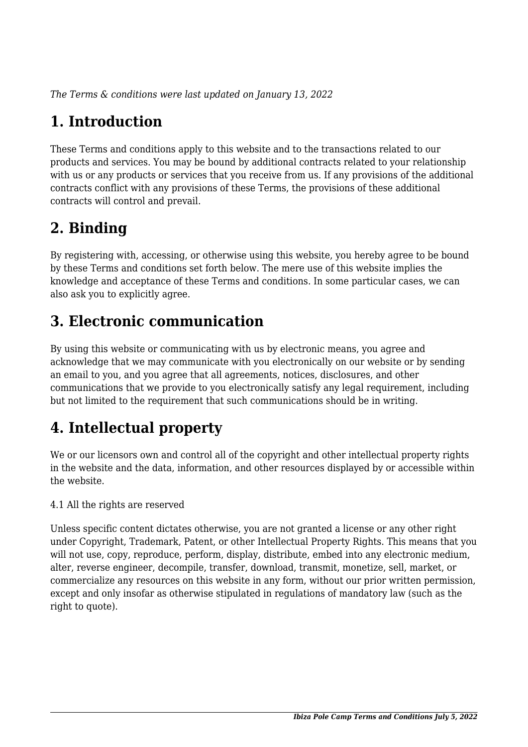*The Terms & conditions were last updated on January 13, 2022*

# **1. Introduction**

These Terms and conditions apply to this website and to the transactions related to our products and services. You may be bound by additional contracts related to your relationship with us or any products or services that you receive from us. If any provisions of the additional contracts conflict with any provisions of these Terms, the provisions of these additional contracts will control and prevail.

# **2. Binding**

By registering with, accessing, or otherwise using this website, you hereby agree to be bound by these Terms and conditions set forth below. The mere use of this website implies the knowledge and acceptance of these Terms and conditions. In some particular cases, we can also ask you to explicitly agree.

# **3. Electronic communication**

By using this website or communicating with us by electronic means, you agree and acknowledge that we may communicate with you electronically on our website or by sending an email to you, and you agree that all agreements, notices, disclosures, and other communications that we provide to you electronically satisfy any legal requirement, including but not limited to the requirement that such communications should be in writing.

# **4. Intellectual property**

We or our licensors own and control all of the copyright and other intellectual property rights in the website and the data, information, and other resources displayed by or accessible within the website.

4.1 All the rights are reserved

Unless specific content dictates otherwise, you are not granted a license or any other right under Copyright, Trademark, Patent, or other Intellectual Property Rights. This means that you will not use, copy, reproduce, perform, display, distribute, embed into any electronic medium, alter, reverse engineer, decompile, transfer, download, transmit, monetize, sell, market, or commercialize any resources on this website in any form, without our prior written permission, except and only insofar as otherwise stipulated in regulations of mandatory law (such as the right to quote).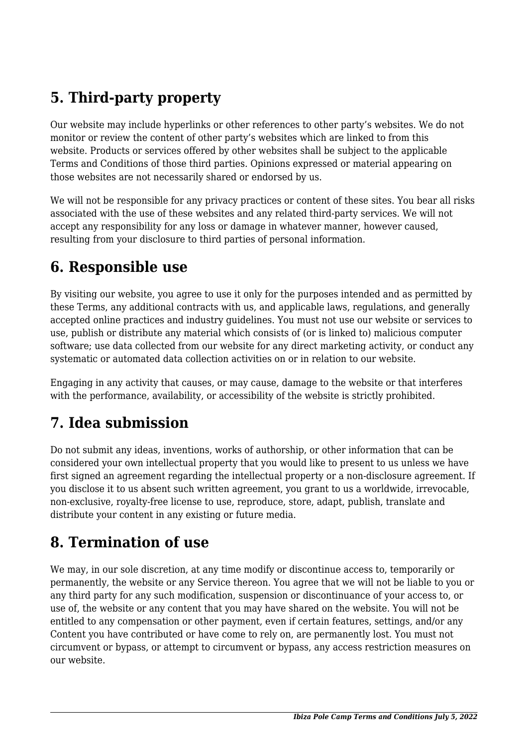# **5. Third-party property**

Our website may include hyperlinks or other references to other party's websites. We do not monitor or review the content of other party's websites which are linked to from this website. Products or services offered by other websites shall be subject to the applicable Terms and Conditions of those third parties. Opinions expressed or material appearing on those websites are not necessarily shared or endorsed by us.

We will not be responsible for any privacy practices or content of these sites. You bear all risks associated with the use of these websites and any related third-party services. We will not accept any responsibility for any loss or damage in whatever manner, however caused, resulting from your disclosure to third parties of personal information.

### **6. Responsible use**

By visiting our website, you agree to use it only for the purposes intended and as permitted by these Terms, any additional contracts with us, and applicable laws, regulations, and generally accepted online practices and industry guidelines. You must not use our website or services to use, publish or distribute any material which consists of (or is linked to) malicious computer software; use data collected from our website for any direct marketing activity, or conduct any systematic or automated data collection activities on or in relation to our website.

Engaging in any activity that causes, or may cause, damage to the website or that interferes with the performance, availability, or accessibility of the website is strictly prohibited.

# **7. Idea submission**

Do not submit any ideas, inventions, works of authorship, or other information that can be considered your own intellectual property that you would like to present to us unless we have first signed an agreement regarding the intellectual property or a non-disclosure agreement. If you disclose it to us absent such written agreement, you grant to us a worldwide, irrevocable, non-exclusive, royalty-free license to use, reproduce, store, adapt, publish, translate and distribute your content in any existing or future media.

### **8. Termination of use**

We may, in our sole discretion, at any time modify or discontinue access to, temporarily or permanently, the website or any Service thereon. You agree that we will not be liable to you or any third party for any such modification, suspension or discontinuance of your access to, or use of, the website or any content that you may have shared on the website. You will not be entitled to any compensation or other payment, even if certain features, settings, and/or any Content you have contributed or have come to rely on, are permanently lost. You must not circumvent or bypass, or attempt to circumvent or bypass, any access restriction measures on our website.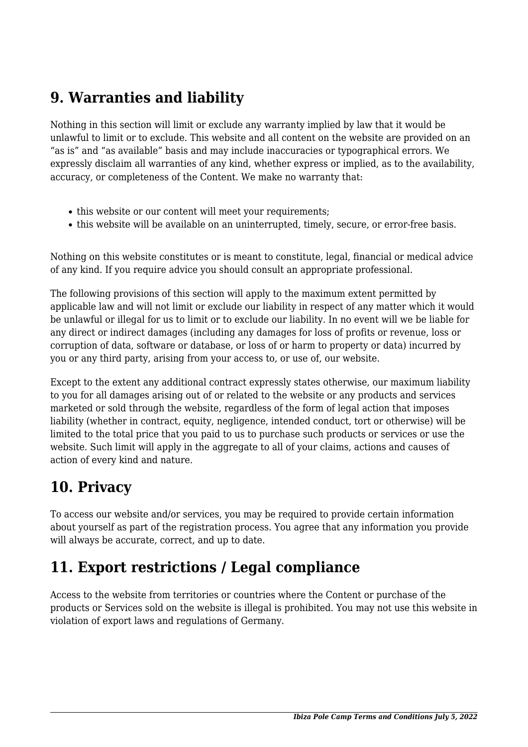### **9. Warranties and liability**

Nothing in this section will limit or exclude any warranty implied by law that it would be unlawful to limit or to exclude. This website and all content on the website are provided on an "as is" and "as available" basis and may include inaccuracies or typographical errors. We expressly disclaim all warranties of any kind, whether express or implied, as to the availability, accuracy, or completeness of the Content. We make no warranty that:

- this website or our content will meet your requirements;
- this website will be available on an uninterrupted, timely, secure, or error-free basis.

Nothing on this website constitutes or is meant to constitute, legal, financial or medical advice of any kind. If you require advice you should consult an appropriate professional.

The following provisions of this section will apply to the maximum extent permitted by applicable law and will not limit or exclude our liability in respect of any matter which it would be unlawful or illegal for us to limit or to exclude our liability. In no event will we be liable for any direct or indirect damages (including any damages for loss of profits or revenue, loss or corruption of data, software or database, or loss of or harm to property or data) incurred by you or any third party, arising from your access to, or use of, our website.

Except to the extent any additional contract expressly states otherwise, our maximum liability to you for all damages arising out of or related to the website or any products and services marketed or sold through the website, regardless of the form of legal action that imposes liability (whether in contract, equity, negligence, intended conduct, tort or otherwise) will be limited to the total price that you paid to us to purchase such products or services or use the website. Such limit will apply in the aggregate to all of your claims, actions and causes of action of every kind and nature.

### **10. Privacy**

To access our website and/or services, you may be required to provide certain information about yourself as part of the registration process. You agree that any information you provide will always be accurate, correct, and up to date.

### **11. Export restrictions / Legal compliance**

Access to the website from territories or countries where the Content or purchase of the products or Services sold on the website is illegal is prohibited. You may not use this website in violation of export laws and regulations of Germany.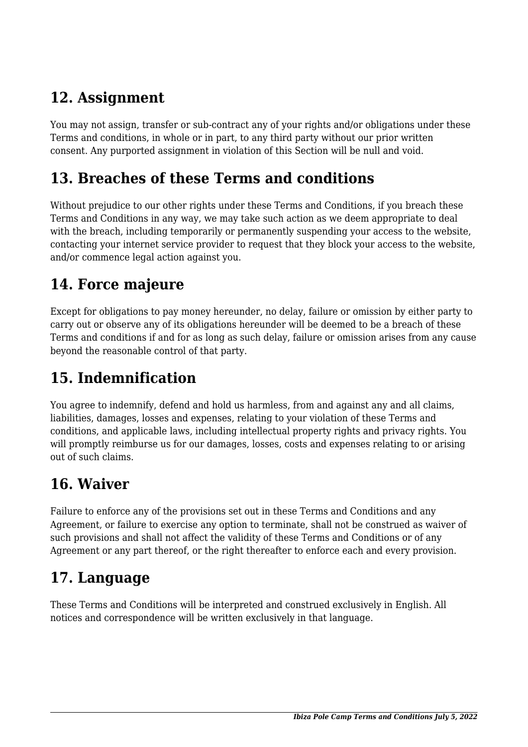## **12. Assignment**

You may not assign, transfer or sub-contract any of your rights and/or obligations under these Terms and conditions, in whole or in part, to any third party without our prior written consent. Any purported assignment in violation of this Section will be null and void.

#### **13. Breaches of these Terms and conditions**

Without prejudice to our other rights under these Terms and Conditions, if you breach these Terms and Conditions in any way, we may take such action as we deem appropriate to deal with the breach, including temporarily or permanently suspending your access to the website, contacting your internet service provider to request that they block your access to the website, and/or commence legal action against you.

## **14. Force majeure**

Except for obligations to pay money hereunder, no delay, failure or omission by either party to carry out or observe any of its obligations hereunder will be deemed to be a breach of these Terms and conditions if and for as long as such delay, failure or omission arises from any cause beyond the reasonable control of that party.

# **15. Indemnification**

You agree to indemnify, defend and hold us harmless, from and against any and all claims, liabilities, damages, losses and expenses, relating to your violation of these Terms and conditions, and applicable laws, including intellectual property rights and privacy rights. You will promptly reimburse us for our damages, losses, costs and expenses relating to or arising out of such claims.

### **16. Waiver**

Failure to enforce any of the provisions set out in these Terms and Conditions and any Agreement, or failure to exercise any option to terminate, shall not be construed as waiver of such provisions and shall not affect the validity of these Terms and Conditions or of any Agreement or any part thereof, or the right thereafter to enforce each and every provision.

### **17. Language**

These Terms and Conditions will be interpreted and construed exclusively in English. All notices and correspondence will be written exclusively in that language.